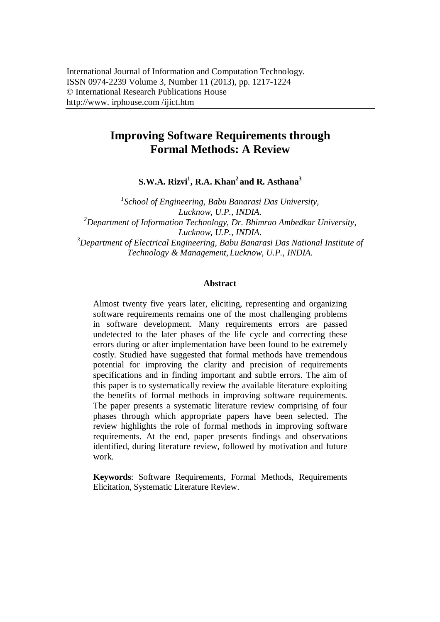# **Improving Software Requirements through Formal Methods: A Review**

**S.W.A. Rizvi<sup>1</sup> , R.A. Khan<sup>2</sup> and R. Asthana<sup>3</sup>**

*1 School of Engineering, Babu Banarasi Das University, Lucknow, U.P., INDIA. <sup>2</sup>Department of Information Technology, Dr. Bhimrao Ambedkar University, Lucknow, U.P., INDIA. <sup>3</sup>Department of Electrical Engineering, Babu Banarasi Das National Institute of Technology & Management, Lucknow, U.P., INDIA.*

#### **Abstract**

Almost twenty five years later, eliciting, representing and organizing software requirements remains one of the most challenging problems in software development. Many requirements errors are passed undetected to the later phases of the life cycle and correcting these errors during or after implementation have been found to be extremely costly. Studied have suggested that formal methods have tremendous potential for improving the clarity and precision of requirements specifications and in finding important and subtle errors. The aim of this paper is to systematically review the available literature exploiting the benefits of formal methods in improving software requirements. The paper presents a systematic literature review comprising of four phases through which appropriate papers have been selected. The review highlights the role of formal methods in improving software requirements. At the end, paper presents findings and observations identified, during literature review, followed by motivation and future work.

**Keywords**: Software Requirements, Formal Methods, Requirements Elicitation, Systematic Literature Review.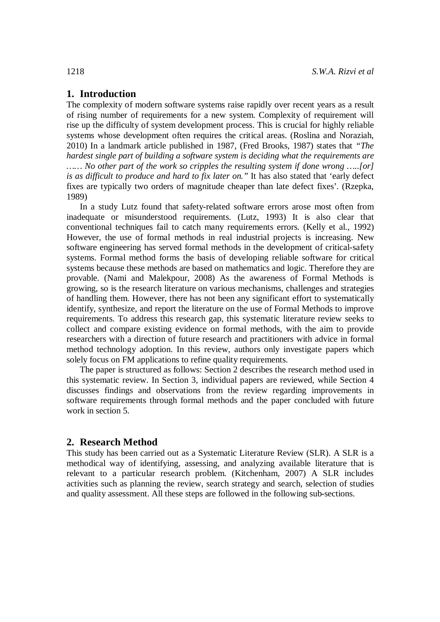# **1. Introduction**

The complexity of modern software systems raise rapidly over recent years as a result of rising number of requirements for a new system. Complexity of requirement will rise up the difficulty of system development process. This is crucial for highly reliable systems whose development often requires the critical areas. (Roslina and Noraziah, 2010) In a landmark article published in 1987, (Fred Brooks, 1987) states that *"The hardest single part of building a software system is deciding what the requirements are …… No other part of the work so cripples the resulting system if done wrong …..[or] is as difficult to produce and hard to fix later on."* It has also stated that 'early defect fixes are typically two orders of magnitude cheaper than late defect fixes'. (Rzepka, 1989)

In a study Lutz found that safety-related software errors arose most often from inadequate or misunderstood requirements. (Lutz, 1993) It is also clear that conventional techniques fail to catch many requirements errors. (Kelly et al., 1992) However, the use of formal methods in real industrial projects is increasing. New software engineering has served formal methods in the development of critical-safety systems. Formal method forms the basis of developing reliable software for critical systems because these methods are based on mathematics and logic. Therefore they are provable. (Nami and Malekpour, 2008) As the awareness of Formal Methods is growing, so is the research literature on various mechanisms, challenges and strategies of handling them. However, there has not been any significant effort to systematically identify, synthesize, and report the literature on the use of Formal Methods to improve requirements. To address this research gap, this systematic literature review seeks to collect and compare existing evidence on formal methods, with the aim to provide researchers with a direction of future research and practitioners with advice in formal method technology adoption. In this review, authors only investigate papers which solely focus on FM applications to refine quality requirements.

The paper is structured as follows: Section 2 describes the research method used in this systematic review. In Section 3, individual papers are reviewed, while Section 4 discusses findings and observations from the review regarding improvements in software requirements through formal methods and the paper concluded with future work in section 5.

#### **2. Research Method**

This study has been carried out as a Systematic Literature Review (SLR). A SLR is a methodical way of identifying, assessing, and analyzing available literature that is relevant to a particular research problem. (Kitchenham, 2007) A SLR includes activities such as planning the review, search strategy and search, selection of studies and quality assessment. All these steps are followed in the following sub-sections.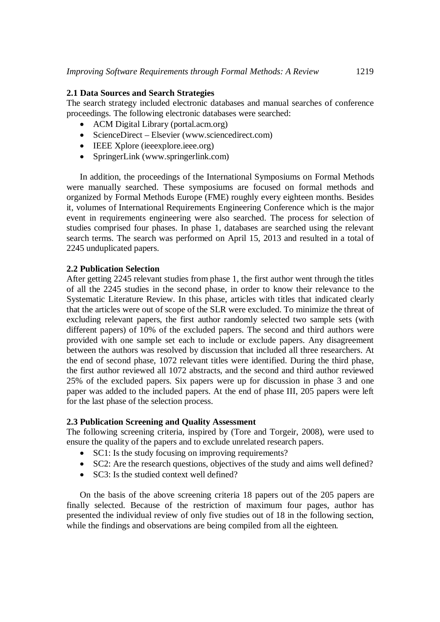#### **2.1 Data Sources and Search Strategies**

The search strategy included electronic databases and manual searches of conference proceedings. The following electronic databases were searched:

- ACM Digital Library (portal.acm.org)
- ScienceDirect Elsevier (www.sciencedirect.com)
- IEEE Xplore (ieeexplore.ieee.org)
- SpringerLink (www.springerlink.com)

In addition, the proceedings of the International Symposiums on Formal Methods were manually searched. These symposiums are focused on formal methods and organized by Formal Methods Europe (FME) roughly every eighteen months. Besides it, volumes of International Requirements Engineering Conference which is the major event in requirements engineering were also searched. The process for selection of studies comprised four phases. In phase 1, databases are searched using the relevant search terms. The search was performed on April 15, 2013 and resulted in a total of 2245 unduplicated papers.

### **2.2 Publication Selection**

After getting 2245 relevant studies from phase 1, the first author went through the titles of all the 2245 studies in the second phase, in order to know their relevance to the Systematic Literature Review. In this phase, articles with titles that indicated clearly that the articles were out of scope of the SLR were excluded. To minimize the threat of excluding relevant papers, the first author randomly selected two sample sets (with different papers) of 10% of the excluded papers. The second and third authors were provided with one sample set each to include or exclude papers. Any disagreement between the authors was resolved by discussion that included all three researchers. At the end of second phase, 1072 relevant titles were identified. During the third phase, the first author reviewed all 1072 abstracts, and the second and third author reviewed 25% of the excluded papers. Six papers were up for discussion in phase 3 and one paper was added to the included papers. At the end of phase III, 205 papers were left for the last phase of the selection process.

### **2.3 Publication Screening and Quality Assessment**

The following screening criteria, inspired by (Tore and Torgeir, 2008), were used to ensure the quality of the papers and to exclude unrelated research papers.

- SC1: Is the study focusing on improving requirements?
- SC2: Are the research questions, objectives of the study and aims well defined?
- SC3: Is the studied context well defined?

On the basis of the above screening criteria 18 papers out of the 205 papers are finally selected. Because of the restriction of maximum four pages, author has presented the individual review of only five studies out of 18 in the following section, while the findings and observations are being compiled from all the eighteen.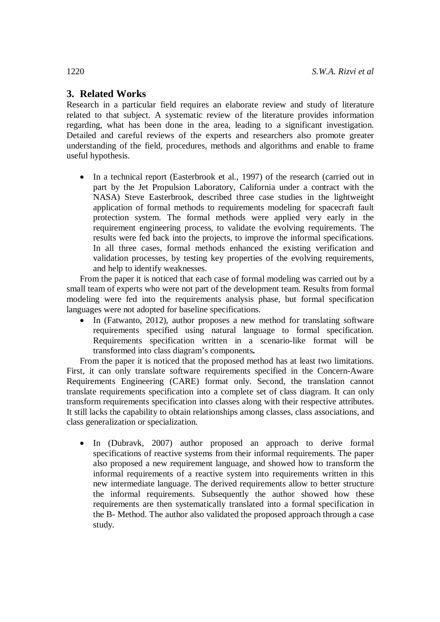# **3. Related Works**

Research in a particular field requires an elaborate review and study of literature related to that subject. A systematic review of the literature provides information regarding, what has been done in the area, leading to a significant investigation. Detailed and careful reviews of the experts and researchers also promote greater understanding of the field, procedures, methods and algorithms and enable to frame useful hypothesis.

• In a technical report (Easterbrook et al., 1997) of the research (carried out in part by the Jet Propulsion Laboratory, California under a contract with the NASA) Steve Easterbrook, described three case studies in the lightweight application of formal methods to requirements modeling for spacecraft fault protection system. The formal methods were applied very early in the requirement engineering process, to validate the evolving requirements. The results were fed back into the projects, to improve the informal specifications. In all three cases, formal methods enhanced the existing verification and validation processes, by testing key properties of the evolving requirements, and help to identify weaknesses.

From the paper it is noticed that each case of formal modeling was carried out by a small team of experts who were not part of the development team. Results from formal modeling were fed into the requirements analysis phase, but formal specification languages were not adopted for baseline specifications.

 In (Fatwanto, 2012), author proposes a new method for translating software requirements specified using natural language to formal specification. Requirements specification written in a scenario-like format will be transformed into class diagram's components**.**

From the paper it is noticed that the proposed method has at least two limitations. First, it can only translate software requirements specified in the Concern-Aware Requirements Engineering (CARE) format only. Second, the translation cannot translate requirements specification into a complete set of class diagram. It can only transform requirements specification into classes along with their respective attributes. It still lacks the capability to obtain relationships among classes, class associations, and class generalization or specialization.

• In (Dubravk, 2007) author proposed an approach to derive formal specifications of reactive systems from their informal requirements. The paper also proposed a new requirement language, and showed how to transform the informal requirements of a reactive system into requirements written in this new intermediate language. The derived requirements allow to better structure the informal requirements. Subsequently the author showed how these requirements are then systematically translated into a formal specification in the B- Method. The author also validated the proposed approach through a case study.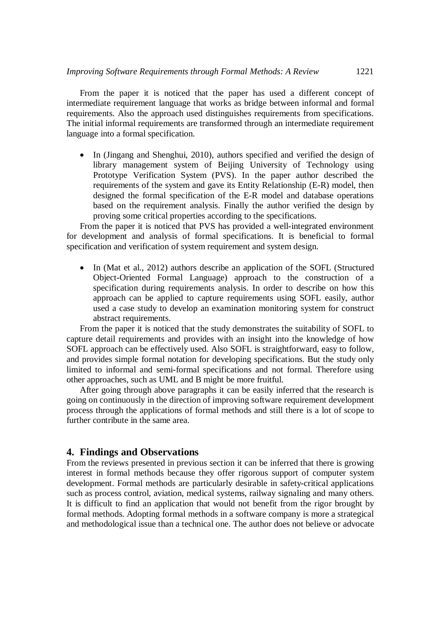From the paper it is noticed that the paper has used a different concept of intermediate requirement language that works as bridge between informal and formal requirements. Also the approach used distinguishes requirements from specifications. The initial informal requirements are transformed through an intermediate requirement language into a formal specification.

• In (Jingang and Shenghui, 2010), authors specified and verified the design of library management system of Beijing University of Technology using Prototype Verification System (PVS). In the paper author described the requirements of the system and gave its Entity Relationship (E-R) model, then designed the formal specification of the E-R model and database operations based on the requirement analysis. Finally the author verified the design by proving some critical properties according to the specifications.

From the paper it is noticed that PVS has provided a well-integrated environment for development and analysis of formal specifications. It is beneficial to formal specification and verification of system requirement and system design.

 In (Mat et al., 2012) authors describe an application of the SOFL (Structured Object-Oriented Formal Language) approach to the construction of a specification during requirements analysis. In order to describe on how this approach can be applied to capture requirements using SOFL easily, author used a case study to develop an examination monitoring system for construct abstract requirements.

From the paper it is noticed that the study demonstrates the suitability of SOFL to capture detail requirements and provides with an insight into the knowledge of how SOFL approach can be effectively used. Also SOFL is straightforward, easy to follow, and provides simple formal notation for developing specifications. But the study only limited to informal and semi-formal specifications and not formal. Therefore using other approaches, such as UML and B might be more fruitful.

After going through above paragraphs it can be easily inferred that the research is going on continuously in the direction of improving software requirement development process through the applications of formal methods and still there is a lot of scope to further contribute in the same area.

# **4. Findings and Observations**

From the reviews presented in previous section it can be inferred that there is growing interest in formal methods because they offer rigorous support of computer system development. Formal methods are particularly desirable in safety-critical applications such as process control, aviation, medical systems, railway signaling and many others. It is difficult to find an application that would not benefit from the rigor brought by formal methods. Adopting formal methods in a software company is more a strategical and methodological issue than a technical one. The author does not believe or advocate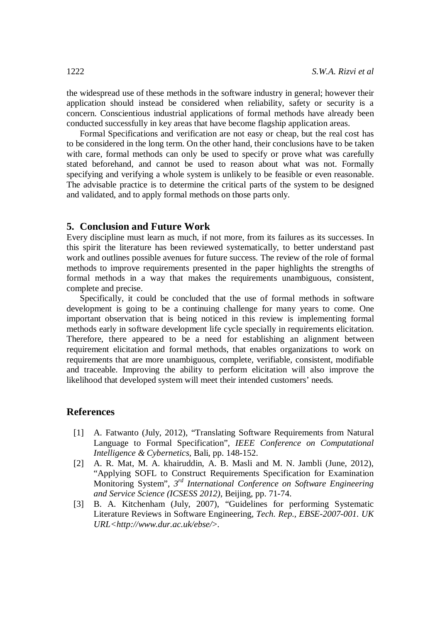the widespread use of these methods in the software industry in general; however their application should instead be considered when reliability, safety or security is a concern. Conscientious industrial applications of formal methods have already been conducted successfully in key areas that have become flagship application areas.

Formal Specifications and verification are not easy or cheap, but the real cost has to be considered in the long term. On the other hand, their conclusions have to be taken with care, formal methods can only be used to specify or prove what was carefully stated beforehand, and cannot be used to reason about what was not. Formally specifying and verifying a whole system is unlikely to be feasible or even reasonable. The advisable practice is to determine the critical parts of the system to be designed and validated, and to apply formal methods on those parts only.

#### **5. Conclusion and Future Work**

Every discipline must learn as much, if not more, from its failures as its successes. In this spirit the literature has been reviewed systematically, to better understand past work and outlines possible avenues for future success. The review of the role of formal methods to improve requirements presented in the paper highlights the strengths of formal methods in a way that makes the requirements unambiguous, consistent, complete and precise.

Specifically, it could be concluded that the use of formal methods in software development is going to be a continuing challenge for many years to come. One important observation that is being noticed in this review is implementing formal methods early in software development life cycle specially in requirements elicitation. Therefore, there appeared to be a need for establishing an alignment between requirement elicitation and formal methods, that enables organizations to work on requirements that are more unambiguous, complete, verifiable, consistent, modifiable and traceable. Improving the ability to perform elicitation will also improve the likelihood that developed system will meet their intended customers' needs.

#### **References**

- [1] A. Fatwanto (July, 2012), "Translating Software Requirements from Natural Language to Formal Specification", *IEEE Conference on Computational Intelligence & Cybernetics,* Bali, pp. 148-152.
- [2] A. R. Mat, M. A. khairuddin, A. B. Masli and M. N. Jambli (June, 2012), "Applying SOFL to Construct Requirements Specification for Examination Monitoring System", *3 rd International Conference on Software Engineering and Service Science (ICSESS 2012)*, Beijing, pp. 71-74.
- [3] B. A. Kitchenham (July, 2007), "Guidelines for performing Systematic Literature Reviews in Software Engineering, *Tech. Rep., EBSE-2007-001. UK URL<http://www.dur.ac.uk/ebse/*>.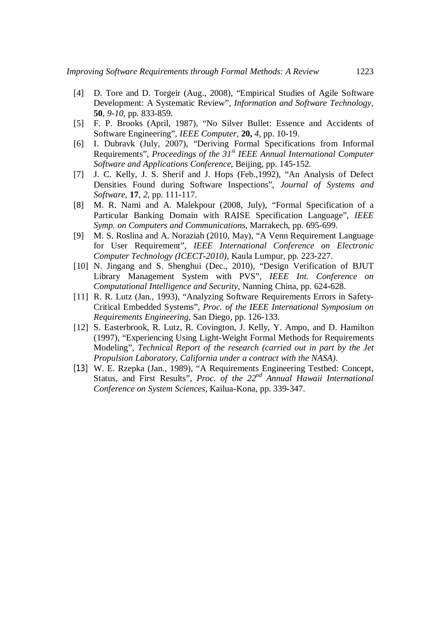- [4] D. Tore and D. Torgeir (Aug., 2008), "Empirical Studies of Agile Software Development: A Systematic Review", *Information and Software Technology,* **50**, *9-10,* pp. 833-859.
- [5] F. P. Brooks (April, 1987), "No Silver Bullet: Essence and Accidents of Software Engineering", *IEEE Computer,* **20,** *4*, pp. 10-19.
- [6] I. Dubravk (July, 2007), "Deriving Formal Specifications from Informal Requirements", *Proceedings of the 31st IEEE Annual International Computer Software and Applications Conference,* Beijing, pp. 145-152.
- [7] J. C. Kelly, J. S. Sherif and J. Hops (Feb.,1992), "An Analysis of Defect Densities Found during Software Inspections", *Journal of Systems and Software*, **17**, *2*, pp. 111-117.
- [8] M. R. Nami and A. Malekpour (2008, July), "Formal Specification of a Particular Banking Domain with RAISE Specification Language", *IEEE Symp. on Computers and Communications,* Marrakech, pp. 695-699.
- [9] M. S. Roslina and A. Noraziah (2010, May), "A Venn Requirement Language for User Requirement", *IEEE International Conference on Electronic Computer Technology (ICECT-2010),* Kaula Lumpur, pp. 223-227.
- [10] N. Jingang and S. Shenghui (Dec., 2010), "Design Verification of BJUT Library Management System with PVS", *IEEE Int. Conference on Computational Intelligence and Security,* Nanning China, pp. 624-628.
- [11] R. R. Lutz (Jan., 1993), "Analyzing Software Requirements Errors in Safety-Critical Embedded Systems", *Proc. of the IEEE International Symposium on Requirements Engineering,* San Diego, pp. 126-133.
- [12] S. Easterbrook, R. Lutz, R. Covington, J. Kelly, Y. Ampo, and D. Hamilton (1997), "Experiencing Using Light-Weight Formal Methods for Requirements Modeling", *Technical Report of the research (carried out in part by the Jet Propulsion Laboratory, California under a contract with the NASA)*.
- [13] W. E. Rzepka (Jan., 1989), "A Requirements Engineering Testbed: Concept, Status, and First Results", *Proc. of the 22nd Annual Hawaii International Conference on System Sciences*, Kailua-Kona, pp. 339-347.